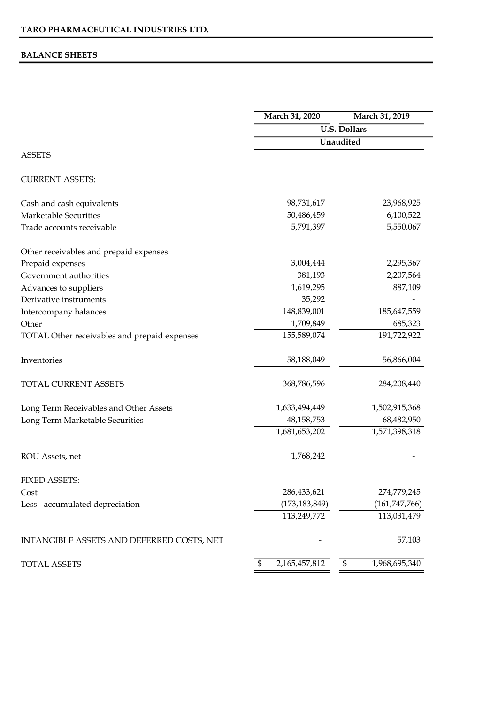## BALANCE SHEETS

|                                              | March 31, 2020      | March 31, 2019<br><b>U.S. Dollars</b><br>Unaudited |  |  |
|----------------------------------------------|---------------------|----------------------------------------------------|--|--|
|                                              |                     |                                                    |  |  |
|                                              |                     |                                                    |  |  |
| <b>ASSETS</b>                                |                     |                                                    |  |  |
| <b>CURRENT ASSETS:</b>                       |                     |                                                    |  |  |
| Cash and cash equivalents                    | 98,731,617          | 23,968,925                                         |  |  |
| Marketable Securities                        | 50,486,459          | 6,100,522                                          |  |  |
| Trade accounts receivable                    | 5,791,397           | 5,550,067                                          |  |  |
| Other receivables and prepaid expenses:      |                     |                                                    |  |  |
| Prepaid expenses                             | 3,004,444           | 2,295,367                                          |  |  |
| Government authorities                       | 381,193             | 2,207,564                                          |  |  |
| Advances to suppliers                        | 1,619,295           | 887,109                                            |  |  |
| Derivative instruments                       | 35,292              |                                                    |  |  |
| Intercompany balances                        | 148,839,001         | 185,647,559                                        |  |  |
| Other                                        | 1,709,849           | 685,323                                            |  |  |
| TOTAL Other receivables and prepaid expenses | 155,589,074         | 191,722,922                                        |  |  |
| Inventories                                  | 58,188,049          | 56,866,004                                         |  |  |
| <b>TOTAL CURRENT ASSETS</b>                  | 368,786,596         | 284,208,440                                        |  |  |
| Long Term Receivables and Other Assets       | 1,633,494,449       | 1,502,915,368                                      |  |  |
| Long Term Marketable Securities              | 48, 158, 753        | 68,482,950                                         |  |  |
|                                              | 1,681,653,202       | 1,571,398,318                                      |  |  |
| ROU Assets, net                              | 1,768,242           |                                                    |  |  |
| <b>FIXED ASSETS:</b>                         |                     |                                                    |  |  |
| Cost                                         | 286,433,621         | 274,779,245                                        |  |  |
| Less - accumulated depreciation              | (173, 183, 849)     | (161, 747, 766)                                    |  |  |
|                                              | 113,249,772         | 113,031,479                                        |  |  |
| INTANGIBLE ASSETS AND DEFERRED COSTS, NET    |                     | 57,103                                             |  |  |
| <b>TOTAL ASSETS</b>                          | 2,165,457,812<br>\$ | 1,968,695,340<br>\$                                |  |  |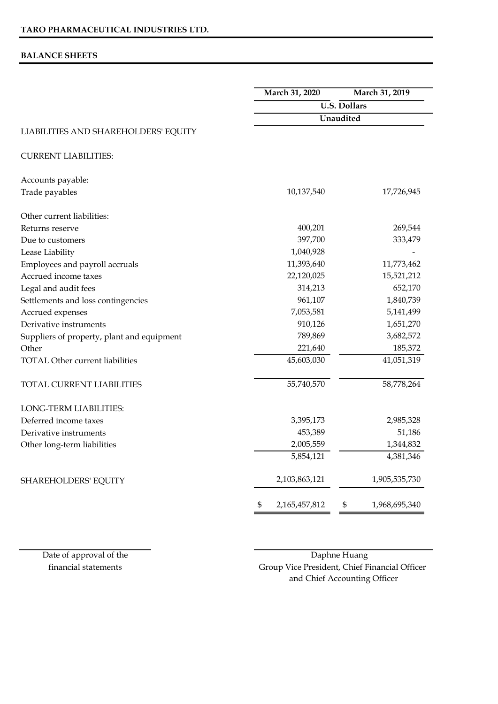## BALANCE SHEETS

|                                            | March 31, 2020         | March 31, 2019      |  |
|--------------------------------------------|------------------------|---------------------|--|
|                                            |                        | <b>U.S. Dollars</b> |  |
|                                            |                        | Unaudited           |  |
| LIABILITIES AND SHAREHOLDERS' EQUITY       |                        |                     |  |
| <b>CURRENT LIABILITIES:</b>                |                        |                     |  |
| Accounts payable:                          |                        |                     |  |
| Trade payables                             | 10,137,540             | 17,726,945          |  |
| Other current liabilities:                 |                        |                     |  |
| Returns reserve                            | 400,201                | 269,544             |  |
| Due to customers                           | 397,700                | 333,479             |  |
| Lease Liability                            | 1,040,928              |                     |  |
| Employees and payroll accruals             | 11,393,640             | 11,773,462          |  |
| Accrued income taxes                       | 22,120,025             | 15,521,212          |  |
| Legal and audit fees                       | 314,213                | 652,170             |  |
| Settlements and loss contingencies         | 961,107                | 1,840,739           |  |
| Accrued expenses                           | 7,053,581              | 5,141,499           |  |
| Derivative instruments                     | 910,126                | 1,651,270           |  |
| Suppliers of property, plant and equipment | 789,869                | 3,682,572           |  |
| Other                                      | 221,640                | 185,372             |  |
| <b>TOTAL Other current liabilities</b>     | 45,603,030             | 41,051,319          |  |
| TOTAL CURRENT LIABILITIES                  | 55,740,570             | 58,778,264          |  |
| LONG-TERM LIABILITIES:                     |                        |                     |  |
| Deferred income taxes                      | 3,395,173              | 2,985,328           |  |
| Derivative instruments                     | 453,389                | 51,186              |  |
| Other long-term liabilities                | 2,005,559              | 1,344,832           |  |
|                                            | 5,854,121              | 4,381,346           |  |
| SHAREHOLDERS' EQUITY                       | 2,103,863,121          | 1,905,535,730       |  |
|                                            | \$<br>2, 165, 457, 812 | \$<br>1,968,695,340 |  |

financial statements

Date of approval of the Daphne Huang Group Vice President, Chief Financial Officer and Chief Accounting Officer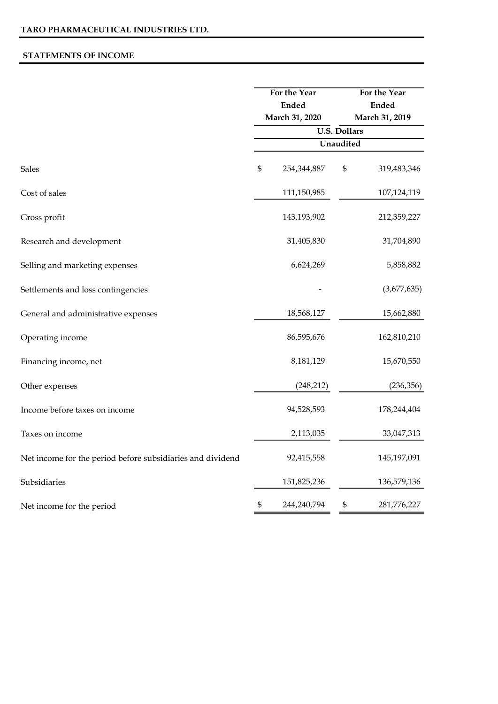## STATEMENTS OF INCOME

|                                                            | For the Year<br>Ended<br>March 31, 2020 | For the Year<br><b>Ended</b><br>March 31, 2019<br><b>U.S. Dollars</b> |             |  |
|------------------------------------------------------------|-----------------------------------------|-----------------------------------------------------------------------|-------------|--|
|                                                            |                                         |                                                                       |             |  |
|                                                            |                                         | Unaudited                                                             |             |  |
| <b>Sales</b>                                               | \$<br>254,344,887                       | $\mathbb{S}$                                                          | 319,483,346 |  |
| Cost of sales                                              | 111,150,985                             |                                                                       | 107,124,119 |  |
| Gross profit                                               | 143,193,902                             |                                                                       | 212,359,227 |  |
| Research and development                                   | 31,405,830                              |                                                                       | 31,704,890  |  |
| Selling and marketing expenses                             | 6,624,269                               |                                                                       | 5,858,882   |  |
| Settlements and loss contingencies                         |                                         |                                                                       | (3,677,635) |  |
| General and administrative expenses                        | 18,568,127                              |                                                                       | 15,662,880  |  |
| Operating income                                           | 86,595,676                              |                                                                       | 162,810,210 |  |
| Financing income, net                                      | 8,181,129                               |                                                                       | 15,670,550  |  |
| Other expenses                                             | (248, 212)                              |                                                                       | (236, 356)  |  |
| Income before taxes on income                              | 94,528,593                              |                                                                       | 178,244,404 |  |
| Taxes on income                                            | 2,113,035                               |                                                                       | 33,047,313  |  |
| Net income for the period before subsidiaries and dividend | 92,415,558                              |                                                                       | 145,197,091 |  |
| Subsidiaries                                               | 151,825,236                             |                                                                       | 136,579,136 |  |
| Net income for the period                                  | \$<br>244,240,794                       | \$                                                                    | 281,776,227 |  |